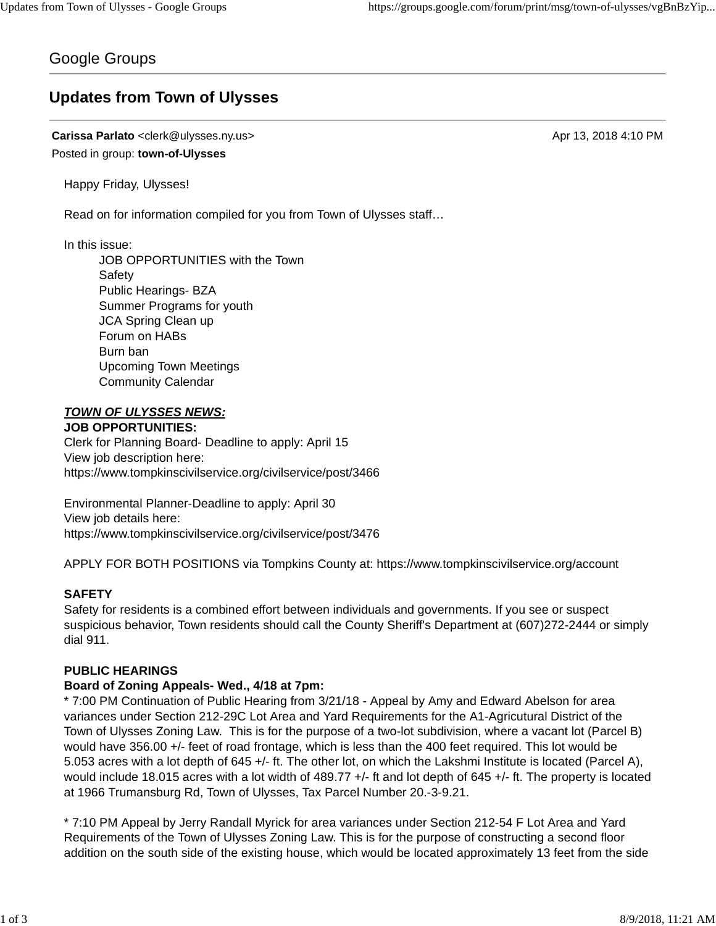## Google Groups

# **Updates from Town of Ulysses**

**Carissa Parlato** <clerk@ulysses.ny.us> Apr 13, 2018 4:10 PM Posted in group: **town-of-Ulysses**

Happy Friday, Ulysses!

Read on for information compiled for you from Town of Ulysses staff…

In this issue:

JOB OPPORTUNITIES with the Town Safety Public Hearings- BZA Summer Programs for youth JCA Spring Clean up Forum on HABs Burn ban Upcoming Town Meetings Community Calendar

#### *TOWN OF ULYSSES NEWS:* **JOB OPPORTUNITIES:**

Clerk for Planning Board- Deadline to apply: April 15 View job description here: https://www.tompkinscivilservice.org/civilservice/post/3466

Environmental Planner-Deadline to apply: April 30 View job details here: https://www.tompkinscivilservice.org/civilservice/post/3476

APPLY FOR BOTH POSITIONS via Tompkins County at: https://www.tompkinscivilservice.org/account

## **SAFETY**

Safety for residents is a combined effort between individuals and governments. If you see or suspect suspicious behavior, Town residents should call the County Sheriff's Department at (607)272-2444 or simply dial 911.

#### **PUBLIC HEARINGS**

#### **Board of Zoning Appeals- Wed., 4/18 at 7pm:**

\* 7:00 PM Continuation of Public Hearing from 3/21/18 - Appeal by Amy and Edward Abelson for area variances under Section 212-29C Lot Area and Yard Requirements for the A1-Agricutural District of the Town of Ulysses Zoning Law. This is for the purpose of a two-lot subdivision, where a vacant lot (Parcel B) would have 356.00 +/- feet of road frontage, which is less than the 400 feet required. This lot would be 5.053 acres with a lot depth of 645 +/- ft. The other lot, on which the Lakshmi Institute is located (Parcel A), would include 18.015 acres with a lot width of 489.77 +/- ft and lot depth of 645 +/- ft. The property is located at 1966 Trumansburg Rd, Town of Ulysses, Tax Parcel Number 20.-3-9.21.

\* 7:10 PM Appeal by Jerry Randall Myrick for area variances under Section 212-54 F Lot Area and Yard Requirements of the Town of Ulysses Zoning Law. This is for the purpose of constructing a second floor addition on the south side of the existing house, which would be located approximately 13 feet from the side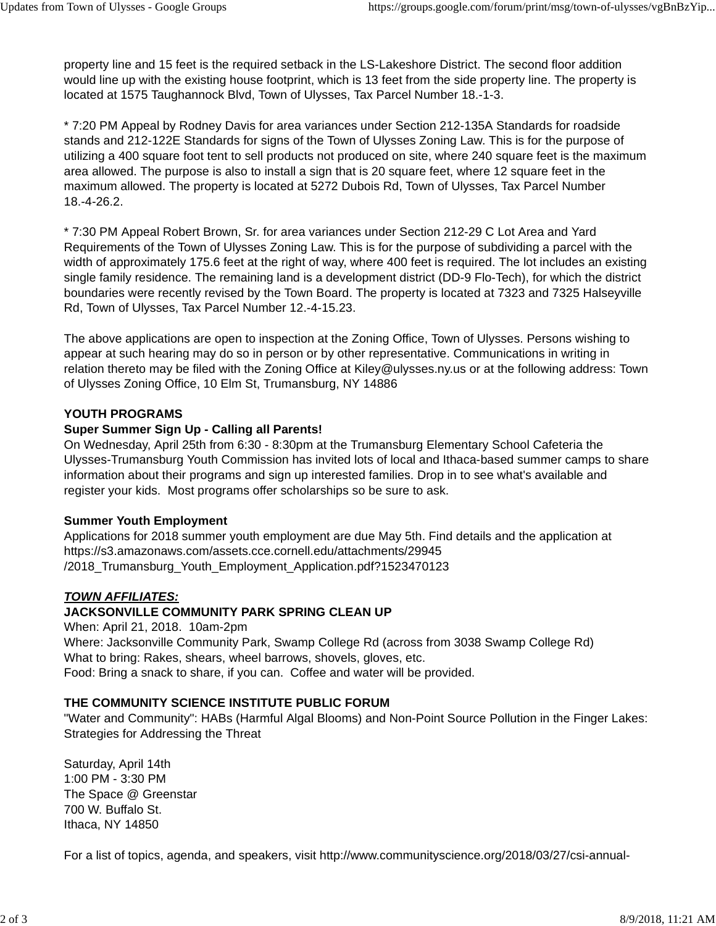property line and 15 feet is the required setback in the LS-Lakeshore District. The second floor addition would line up with the existing house footprint, which is 13 feet from the side property line. The property is located at 1575 Taughannock Blvd, Town of Ulysses, Tax Parcel Number 18.-1-3.

\* 7:20 PM Appeal by Rodney Davis for area variances under Section 212-135A Standards for roadside stands and 212-122E Standards for signs of the Town of Ulysses Zoning Law. This is for the purpose of utilizing a 400 square foot tent to sell products not produced on site, where 240 square feet is the maximum area allowed. The purpose is also to install a sign that is 20 square feet, where 12 square feet in the maximum allowed. The property is located at 5272 Dubois Rd, Town of Ulysses, Tax Parcel Number 18.-4-26.2.

\* 7:30 PM Appeal Robert Brown, Sr. for area variances under Section 212-29 C Lot Area and Yard Requirements of the Town of Ulysses Zoning Law. This is for the purpose of subdividing a parcel with the width of approximately 175.6 feet at the right of way, where 400 feet is required. The lot includes an existing single family residence. The remaining land is a development district (DD-9 Flo-Tech), for which the district boundaries were recently revised by the Town Board. The property is located at 7323 and 7325 Halseyville Rd, Town of Ulysses, Tax Parcel Number 12.-4-15.23.

The above applications are open to inspection at the Zoning Office, Town of Ulysses. Persons wishing to appear at such hearing may do so in person or by other representative. Communications in writing in relation thereto may be filed with the Zoning Office at Kiley@ulysses.ny.us or at the following address: Town of Ulysses Zoning Office, 10 Elm St, Trumansburg, NY 14886

#### **YOUTH PROGRAMS**

#### **Super Summer Sign Up - Calling all Parents!**

On Wednesday, April 25th from 6:30 - 8:30pm at the Trumansburg Elementary School Cafeteria the Ulysses-Trumansburg Youth Commission has invited lots of local and Ithaca-based summer camps to share information about their programs and sign up interested families. Drop in to see what's available and register your kids. Most programs offer scholarships so be sure to ask.

#### **Summer Youth Employment**

Applications for 2018 summer youth employment are due May 5th. Find details and the application at https://s3.amazonaws.com/assets.cce.cornell.edu/attachments/29945 /2018\_Trumansburg\_Youth\_Employment\_Application.pdf?1523470123

#### *TOWN AFFILIATES:*

### **JACKSONVILLE COMMUNITY PARK SPRING CLEAN UP**

When: April 21, 2018. 10am-2pm Where: Jacksonville Community Park, Swamp College Rd (across from 3038 Swamp College Rd) What to bring: Rakes, shears, wheel barrows, shovels, gloves, etc. Food: Bring a snack to share, if you can. Coffee and water will be provided.

#### **THE COMMUNITY SCIENCE INSTITUTE PUBLIC FORUM**

"Water and Community": HABs (Harmful Algal Blooms) and Non-Point Source Pollution in the Finger Lakes: Strategies for Addressing the Threat

Saturday, April 14th 1:00 PM - 3:30 PM The Space @ Greenstar 700 W. Buffalo St. Ithaca, NY 14850

For a list of topics, agenda, and speakers, visit http://www.communityscience.org/2018/03/27/csi-annual-